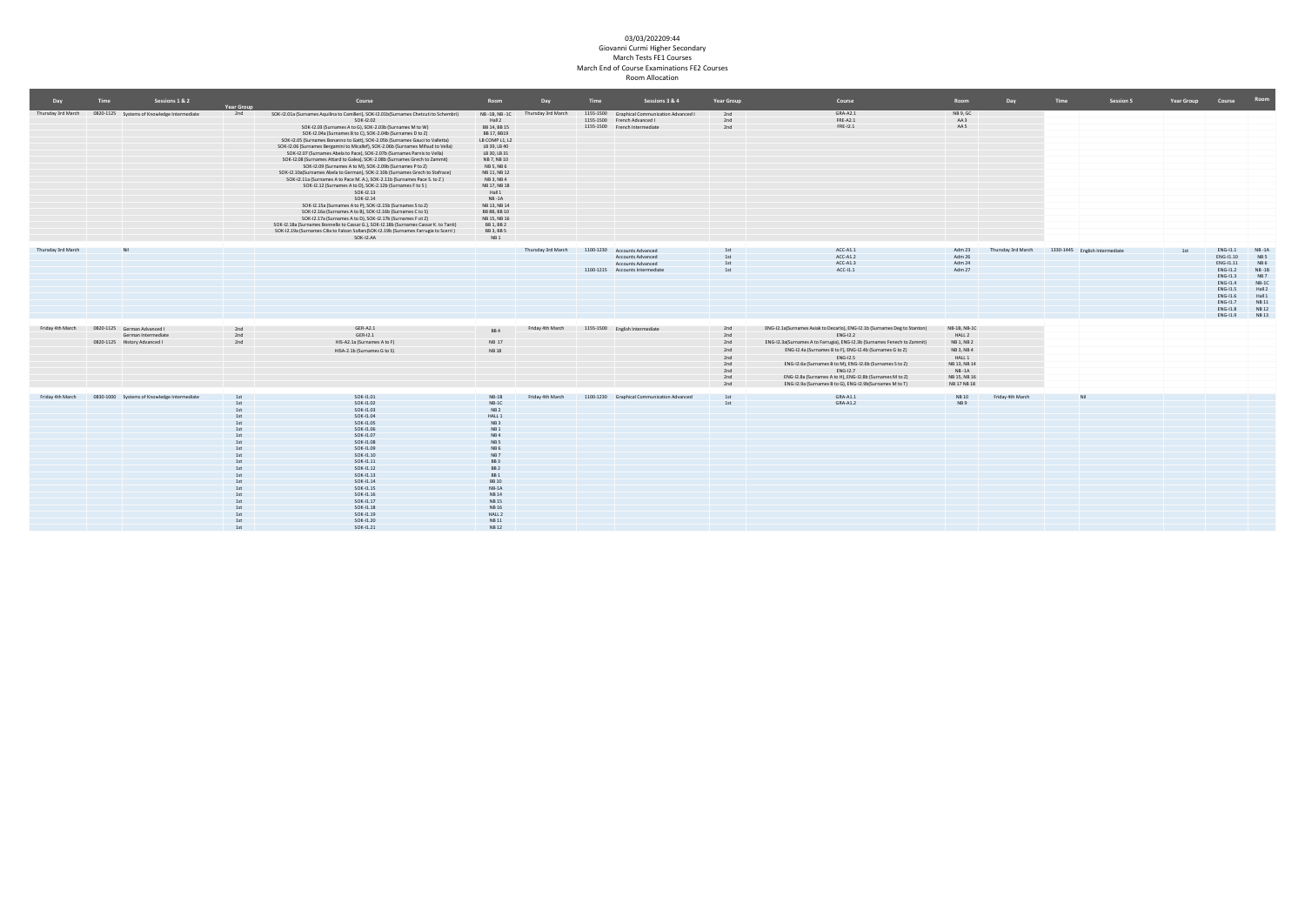| Day                | <b>Time</b> | Sessions 1 & 2                                                 |                   | Course                                                                                              | Room                   | Day                | Time | Sessions 3 & 4                                                              | Year Group | Course                                                                    | Room            | Day                | Time | Session 5                      | Year Group | Course     | Room            |
|--------------------|-------------|----------------------------------------------------------------|-------------------|-----------------------------------------------------------------------------------------------------|------------------------|--------------------|------|-----------------------------------------------------------------------------|------------|---------------------------------------------------------------------------|-----------------|--------------------|------|--------------------------------|------------|------------|-----------------|
|                    |             |                                                                | <b>Year Group</b> |                                                                                                     |                        |                    |      |                                                                             |            |                                                                           |                 |                    |      |                                |            |            |                 |
|                    |             | Thursday 3rd March 0820-1125 Systems of Knowledge Intermediate | 2nd               | SOK-12.01a (Surnames Aquilina to Camilleri), SOK-12.01b(Surnames Chetcuti to Schembri)<br>SOK-12.02 | NB-1B, NB-1C<br>Hall 2 | Thursday 3rd March |      | 1155-1500 Graphical Communication Advanced I<br>1155-1500 French Advanced I | 2nd<br>2nd | GRA-A2.1<br>FRE-A2.1                                                      | NB 9, GC<br>AA3 |                    |      |                                |            |            |                 |
|                    |             |                                                                |                   | SOK-12.03 (Surnames A to G), SOK-2.03b (Surnames M to W)                                            | BB 14, BB 15           |                    |      | 1155-1500 French Intermediate                                               | 2nd        | FRE-12.1                                                                  | AA 5            |                    |      |                                |            |            |                 |
|                    |             |                                                                |                   | SOK-12.04a (Surnames B to C), SOK-2.04b (Surnames D to Z)                                           | BB 17, BB19            |                    |      |                                                                             |            |                                                                           |                 |                    |      |                                |            |            |                 |
|                    |             |                                                                |                   | SOK-12.05 (Surnames Bonanno to Gatt), SOK-2.05b (Surnames Gauci to Valletta)                        | LB COMP L1, L2         |                    |      |                                                                             |            |                                                                           |                 |                    |      |                                |            |            |                 |
|                    |             |                                                                |                   | SOK-12.06 (Surnames Bergamini to Micallef), SOK-2.06b (Surnames Mifsud to Vella)                    | LB 39, LB 40           |                    |      |                                                                             |            |                                                                           |                 |                    |      |                                |            |            |                 |
|                    |             |                                                                |                   | SOK-I2.07 (Surnames Abela to Pace), SOK-2.07b (Surnames Parnis to Vella)                            | LB 30, LB 31           |                    |      |                                                                             |            |                                                                           |                 |                    |      |                                |            |            |                 |
|                    |             |                                                                |                   | SOK-I2.08 (Surnames Attard to Galea), SOK-2.08b (Surnames Grech to Zammit)                          | NB 7, NB 10            |                    |      |                                                                             |            |                                                                           |                 |                    |      |                                |            |            |                 |
|                    |             |                                                                |                   | SOK-12.09 (Surnames A to M), SOK-2.09b (Surnames P to Z)                                            | NB 5, NB 6             |                    |      |                                                                             |            |                                                                           |                 |                    |      |                                |            |            |                 |
|                    |             |                                                                |                   | SOK-12.10a(Surnames Abela to German), SOK-2.10b (Surnames Grech to Stafrace)                        | NB 11, NB 12           |                    |      |                                                                             |            |                                                                           |                 |                    |      |                                |            |            |                 |
|                    |             |                                                                |                   | SOK-12.11a (Surnames A to Pace M. A.), SOK-2.11b (Surnames Pace S. to Z)                            | NB 3, NB 4             |                    |      |                                                                             |            |                                                                           |                 |                    |      |                                |            |            |                 |
|                    |             |                                                                |                   | SOK-12.12 (Surnames A to D), SOK-2.12b (Surnames F to S)                                            | NB 17, NB 18           |                    |      |                                                                             |            |                                                                           |                 |                    |      |                                |            |            |                 |
|                    |             |                                                                |                   | SOK-12.13                                                                                           | Hall 1                 |                    |      |                                                                             |            |                                                                           |                 |                    |      |                                |            |            |                 |
|                    |             |                                                                |                   | SOK-12.14                                                                                           | $NB - 1A$              |                    |      |                                                                             |            |                                                                           |                 |                    |      |                                |            |            |                 |
|                    |             |                                                                |                   | SOK-12.15a (Surnames A to P), SOK-12.15b (Surnames S to Z)                                          | NB 13, NB 14           |                    |      |                                                                             |            |                                                                           |                 |                    |      |                                |            |            |                 |
|                    |             |                                                                |                   | SOK-12.16a (Surnames A to B), SOK-12.16b (Surnames C to S)                                          | BB 8B, BB 10           |                    |      |                                                                             |            |                                                                           |                 |                    |      |                                |            |            |                 |
|                    |             |                                                                |                   | SOK-12.17a (Surnames A to D), SOK-12.17b (Surnames F ot Z)                                          | NB 15, NB 16           |                    |      |                                                                             |            |                                                                           |                 |                    |      |                                |            |            |                 |
|                    |             |                                                                |                   | SOK-12.18a (Surnames Bonnello to Cassar G.), SOK-12.18b (Surnames Cassar K. to Tanti)               | BB 1, BB 2             |                    |      |                                                                             |            |                                                                           |                 |                    |      |                                |            |            |                 |
|                    |             |                                                                |                   | SOK-12.19a (Surnames Cilia to Falzon Sollars)SOK-12.19b (Surnames Farrugia to Scerri)               | BB 3, BB 5             |                    |      |                                                                             |            |                                                                           |                 |                    |      |                                |            |            |                 |
|                    |             |                                                                |                   | SOK-I2.AA                                                                                           | NB <sub>1</sub>        |                    |      |                                                                             |            |                                                                           |                 |                    |      |                                |            |            |                 |
| Thursday 3rd March |             |                                                                |                   |                                                                                                     |                        | Thursday 3rd March |      | 1100-1230 Accounts Advanced                                                 |            | $ACC-A1.1$                                                                | Adm 23          | Thursday 3rd March |      | 1330-1445 English Intermediate | 1et        | $ENG-11.1$ | $NB - 1A$       |
|                    |             |                                                                |                   |                                                                                                     |                        |                    |      | Accounts Advanced                                                           |            | $ACC-A1.2$                                                                | Adm 26          |                    |      |                                |            | ENG-11.10  | NB <sub>5</sub> |
|                    |             |                                                                |                   |                                                                                                     |                        |                    |      | Accounts Advanced                                                           |            | ACC-A1.3                                                                  | Adm 24          |                    |      |                                |            | ENG-11.11  | NB <sub>6</sub> |
|                    |             |                                                                |                   |                                                                                                     |                        |                    |      | 1100-1215 Accounts Intermediate                                             |            | $ACC-11.1$                                                                | Adm 27          |                    |      |                                |            | $ENG-11.2$ | $NB - 1B$       |
|                    |             |                                                                |                   |                                                                                                     |                        |                    |      |                                                                             |            |                                                                           |                 |                    |      |                                |            | $ENG-11.3$ | NB <sub>7</sub> |
|                    |             |                                                                |                   |                                                                                                     |                        |                    |      |                                                                             |            |                                                                           |                 |                    |      |                                |            | ENG-11.4   | $NB-1C$         |
|                    |             |                                                                |                   |                                                                                                     |                        |                    |      |                                                                             |            |                                                                           |                 |                    |      |                                |            | ENG-11.5   | Hall 2          |
|                    |             |                                                                |                   |                                                                                                     |                        |                    |      |                                                                             |            |                                                                           |                 |                    |      |                                |            | ENG-11.6   | Hall 1          |
|                    |             |                                                                |                   |                                                                                                     |                        |                    |      |                                                                             |            |                                                                           |                 |                    |      |                                |            | ENG-11.7   | <b>NB11</b>     |
|                    |             |                                                                |                   |                                                                                                     |                        |                    |      |                                                                             |            |                                                                           |                 |                    |      |                                |            | $ENG-11.8$ | <b>NB12</b>     |
|                    |             |                                                                |                   |                                                                                                     |                        |                    |      |                                                                             |            |                                                                           |                 |                    |      |                                |            | $ENG-11.9$ | NB 13           |
|                    |             |                                                                |                   |                                                                                                     |                        |                    |      |                                                                             |            |                                                                           |                 |                    |      |                                |            |            |                 |
| Friday 4th March   |             | 0820-1125 German Advanced I                                    | 2nd               | GER-A2.1                                                                                            | BB4                    | Friday 4th March   |      | 1155-1500 English Intermediate                                              | 2nd        | ENG-12.1a(Surnames Axiak to Decarlo), ENG-12.1b (Surnames Deg to Stanton) | NB-1B, NB-1C    |                    |      |                                |            |            |                 |
|                    |             | German Intermediate                                            | 2nd               | GER-I2.1                                                                                            |                        |                    |      |                                                                             | 2nd        | ENG-12.2                                                                  | HALL 2          |                    |      |                                |            |            |                 |
|                    |             | 0820-1125 History Advanced I                                   |                   | HIS-A2.1a (Surnames A to F)                                                                         | NB 17                  |                    |      |                                                                             | 2nd        | ENG-12.3a(Surnames A to Farrugia), ENG-12.3b (Surnames Fenech to Zammit)  | NB 1, NB 2      |                    |      |                                |            |            |                 |
|                    |             |                                                                |                   | HISA-2.1b (Surnames G to S)                                                                         | <b>NB18</b>            |                    |      |                                                                             | 2nd        | ENG-12.4a (Surnames B to F), ENG-12.4b (Surnames G to Z)                  | NB 3, NB 4      |                    |      |                                |            |            |                 |
|                    |             |                                                                |                   |                                                                                                     |                        |                    |      |                                                                             | 2nd        | <b>ENG-12.5</b>                                                           | HALL 1          |                    |      |                                |            |            |                 |
|                    |             |                                                                |                   |                                                                                                     |                        |                    |      |                                                                             | 2nd        | ENG-12.6a (Surnames B to M), ENG-12.6b (Surnames S to Z)                  | NB 13, NB 14    |                    |      |                                |            |            |                 |
|                    |             |                                                                |                   |                                                                                                     |                        |                    |      |                                                                             | 2nd        | ENG-12.7                                                                  | $NB - 1A$       |                    |      |                                |            |            |                 |
|                    |             |                                                                |                   |                                                                                                     |                        |                    |      |                                                                             | 2nd        | ENG-12.8a (Surnames A to H), ENG-12.8b (Surnames M to Z)                  | NB 15, NB 16    |                    |      |                                |            |            |                 |
|                    |             |                                                                |                   |                                                                                                     |                        |                    |      |                                                                             | 2nd        | ENG-12.9a (Surnames B to G), ENG-12.9b(Surnames M to T)                   | NB 17 NB 18     |                    |      |                                |            |            |                 |
|                    |             |                                                                |                   |                                                                                                     |                        |                    |      |                                                                             |            |                                                                           |                 |                    |      |                                |            |            |                 |
| Friday 4th March   |             | 0830-1000 Systems of Knowledge Intermediate                    | 1s                | SOK-11.01                                                                                           | $NB-1B$                | Friday 4th March   |      | 1100-1230 Graphical Communication Advanced                                  | 1st        | GRA-A1.1                                                                  | <b>NB10</b>     | Friday 4th March   |      |                                |            |            |                 |
|                    |             |                                                                |                   | SOK-11.02                                                                                           | $NB-1C$                |                    |      |                                                                             | 1st        | GRA-A1.2                                                                  | NB9             |                    |      |                                |            |            |                 |
|                    |             |                                                                |                   | SOK-11.03                                                                                           | NB <sub>2</sub>        |                    |      |                                                                             |            |                                                                           |                 |                    |      |                                |            |            |                 |
|                    |             |                                                                |                   | SOK-11.04                                                                                           | HALL 1                 |                    |      |                                                                             |            |                                                                           |                 |                    |      |                                |            |            |                 |
|                    |             |                                                                |                   | SOK-11.05                                                                                           | NB3<br>NB1             |                    |      |                                                                             |            |                                                                           |                 |                    |      |                                |            |            |                 |
|                    |             |                                                                |                   | SOK-11.06<br>SOK-11.07                                                                              | NB4                    |                    |      |                                                                             |            |                                                                           |                 |                    |      |                                |            |            |                 |
|                    |             |                                                                |                   | SOK-11.08                                                                                           | NB <sub>5</sub>        |                    |      |                                                                             |            |                                                                           |                 |                    |      |                                |            |            |                 |
|                    |             |                                                                |                   | SOK-11.09                                                                                           | NB <sub>6</sub>        |                    |      |                                                                             |            |                                                                           |                 |                    |      |                                |            |            |                 |
|                    |             |                                                                |                   | SOK-11.10                                                                                           | NB7                    |                    |      |                                                                             |            |                                                                           |                 |                    |      |                                |            |            |                 |
|                    |             |                                                                |                   | SOK-11.11                                                                                           | BB <sub>3</sub>        |                    |      |                                                                             |            |                                                                           |                 |                    |      |                                |            |            |                 |
|                    |             |                                                                |                   | SOK-11.12                                                                                           | BB <sub>2</sub>        |                    |      |                                                                             |            |                                                                           |                 |                    |      |                                |            |            |                 |
|                    |             |                                                                |                   | SOK-11.13                                                                                           | BB <sub>1</sub>        |                    |      |                                                                             |            |                                                                           |                 |                    |      |                                |            |            |                 |
|                    |             |                                                                |                   | SOK-11.14                                                                                           | <b>BB10</b>            |                    |      |                                                                             |            |                                                                           |                 |                    |      |                                |            |            |                 |
|                    |             |                                                                |                   | SOK-11.15                                                                                           | $NB-1A$                |                    |      |                                                                             |            |                                                                           |                 |                    |      |                                |            |            |                 |
|                    |             |                                                                |                   | SOK-11.16                                                                                           | <b>NB14</b>            |                    |      |                                                                             |            |                                                                           |                 |                    |      |                                |            |            |                 |
|                    |             |                                                                |                   | SOK-11.17                                                                                           | <b>NB15</b>            |                    |      |                                                                             |            |                                                                           |                 |                    |      |                                |            |            |                 |
|                    |             |                                                                |                   | SOK-11.18                                                                                           | <b>NB16</b>            |                    |      |                                                                             |            |                                                                           |                 |                    |      |                                |            |            |                 |
|                    |             |                                                                |                   | SOK-11.19                                                                                           | HALL 2                 |                    |      |                                                                             |            |                                                                           |                 |                    |      |                                |            |            |                 |
|                    |             |                                                                | 1st               | SOK-11.20                                                                                           | <b>NB11</b>            |                    |      |                                                                             |            |                                                                           |                 |                    |      |                                |            |            |                 |
|                    |             |                                                                | 1 <sub>ct</sub>   | SOK-11.21                                                                                           | <b>NB12</b>            |                    |      |                                                                             |            |                                                                           |                 |                    |      |                                |            |            |                 |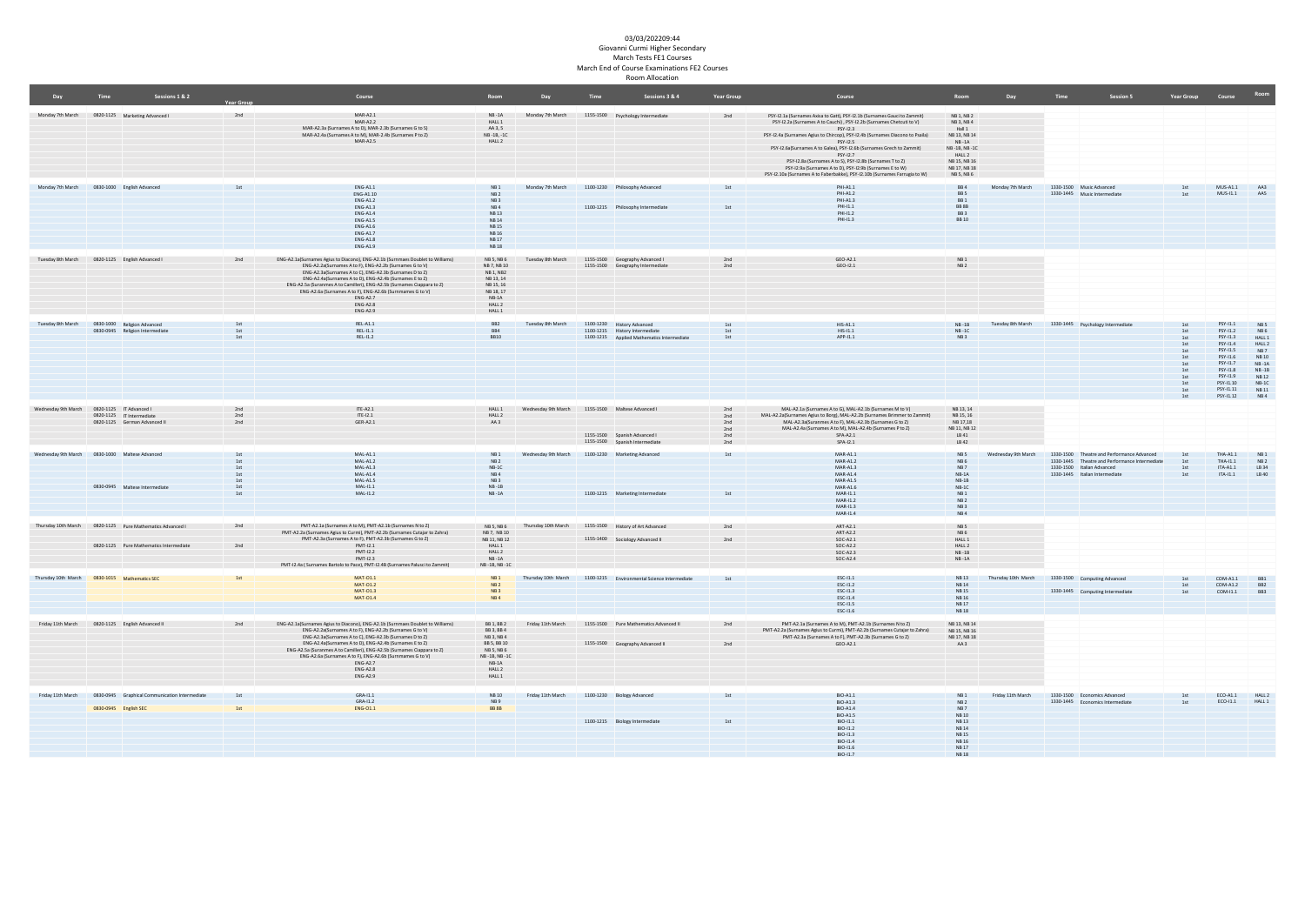| Day                                             | Time                  | Sessions 1 & 2                                                                                       |                                               | Course                                                                                                                                                                                                                                                                                                                                                                                                                                                  | Room                                                                                                               | Day                                              | Time | Sessions 3 & 4                                                                                             | <b>Year Group</b>                      | Course                                                                                                                                                                                                                                                                                                                                                                                                                                                                                                                                                     | Room                                                                                                                                   | Day                 | Time<br><b>Session 5</b>                                                                                                                                     | Year Group Course                                                                |                                                                                                                                                 |                                                                                                                                       |
|-------------------------------------------------|-----------------------|------------------------------------------------------------------------------------------------------|-----------------------------------------------|---------------------------------------------------------------------------------------------------------------------------------------------------------------------------------------------------------------------------------------------------------------------------------------------------------------------------------------------------------------------------------------------------------------------------------------------------------|--------------------------------------------------------------------------------------------------------------------|--------------------------------------------------|------|------------------------------------------------------------------------------------------------------------|----------------------------------------|------------------------------------------------------------------------------------------------------------------------------------------------------------------------------------------------------------------------------------------------------------------------------------------------------------------------------------------------------------------------------------------------------------------------------------------------------------------------------------------------------------------------------------------------------------|----------------------------------------------------------------------------------------------------------------------------------------|---------------------|--------------------------------------------------------------------------------------------------------------------------------------------------------------|----------------------------------------------------------------------------------|-------------------------------------------------------------------------------------------------------------------------------------------------|---------------------------------------------------------------------------------------------------------------------------------------|
| Monday 7th March 0820-1125 Marketing Advanced I |                       |                                                                                                      | 2nd                                           | $MAR-A2.1$<br>$MAP-422$<br>MAR-A2.3a (Surnames A to D), MAR-2.3b (Surnames G to S)<br>MAR-A2.4a (Surnames A to M), MAR-2.4b (Surnames P to Z)<br>$MAP-425$                                                                                                                                                                                                                                                                                              | $NB - 1A$<br>HALL 1<br>AA 3.5<br>NB-1B, -1C<br>HALL 2                                                              |                                                  |      | Monday 7th March 1155-1500 Psychology Intermediate                                                         | 2nd                                    | PSY-12.1a (Surnames Axisa to Gatt), PSY-12.1b (Surnames Gauci to Zammit)<br>PSY-12.2a (Surnames A to Cauchi), PSY-12.2b (Surnames Chetcuti to V)<br>PSY-12.3<br>PSY-12.4a (Surnames Agius to Chircop), PSY-12.4b (Surnames Diacono to Psaila)<br><b>PSY-12.5</b><br>PSY-12.6afSurnames A to Galea), PSY-12.6b (Surnames Grech to Zammit)<br>PSY-12.7<br>PSY-12.8a (Surnames A to S), PSY-12.8b (Surnames T to Z)<br>PSY-12.9a (Surnames A to D), PSY-12.9b (Surnames E to W)<br>PSY-12.10a (Surnames A to Faberbakke), PSY-12.10b (Surnames Farrugia to W) | NB 1, NB 2<br>NB 3, NB 4<br>Hall 1<br>NB 13, NB 14<br>$NR - 1A$<br>NR-1R NR-1C<br>HALL 2<br>NB 15, NB 16<br>NB 17, NB 18<br>NB 5, NB 6 |                     |                                                                                                                                                              |                                                                                  |                                                                                                                                                 |                                                                                                                                       |
| Monday 7th March 0830-1000 English Advanced     |                       |                                                                                                      | 1st                                           | $ENG-A1.1$<br>ENG-A1.10<br><b>FNG-A12</b><br>$FNG-A13$<br><b>ENG-A1.4</b>                                                                                                                                                                                                                                                                                                                                                                               | NB1<br>NB2<br>NB <sub>3</sub><br>NR4<br><b>NB13</b>                                                                |                                                  |      | Monday 7th March 1100-1230 Philosophy Advanced<br>1100-1215 Philosophy Intermediate                        | 1st<br>1st                             | <b>PHI-A11</b><br>PHI-A1.2<br><b>PHI-A13</b><br>PHI-11.1<br>PHI-11.2                                                                                                                                                                                                                                                                                                                                                                                                                                                                                       | <b>BB4</b><br>BB <sub>S</sub><br>RR <sub>1</sub><br><b>BB 8B</b><br>BB <sub>3</sub>                                                    | Monday 7th March    | 1330-1500 Music Advanced<br>1330-1445 Music Intermediate                                                                                                     | 1st<br>1st                                                                       | MUS-A1.1 AA3<br>MUS-I1.1                                                                                                                        | AAS                                                                                                                                   |
|                                                 |                       |                                                                                                      |                                               | <b>ENG-A1.5</b><br>$ENG-A1.6$<br><b>ENG-A1.7</b><br>$ENG-A1.8$<br>$ENG-A1.9$                                                                                                                                                                                                                                                                                                                                                                            | <b>NB14</b><br><b>NB15</b><br><b>NB16</b><br><b>NB17</b><br><b>NB18</b>                                            |                                                  |      |                                                                                                            |                                        | PHI-11.3                                                                                                                                                                                                                                                                                                                                                                                                                                                                                                                                                   | <b>BB10</b>                                                                                                                            |                     |                                                                                                                                                              |                                                                                  |                                                                                                                                                 |                                                                                                                                       |
| Tuesday 8th March 0820-1125 English Advanced I  |                       |                                                                                                      | 2nd                                           | ENG-A2.1a(Surnames Agius to Diacono), ENG-A2.1b (Surnmaes Doublet to Williams)<br>ENG-A2.2a(Surnames A to F), ENG-A2.2b (Surnames G to V)<br>ENG-A2.3a(Surnames A to C), ENG-A2.3b (Surnames D to Z)<br>ENG-A2.4a(Surnames A to D), ENG-A2.4b (Surnames E to Z)<br>ENG-A2.5a (Suranmes A to Camilleri), ENG-A2.5b (Surnames Ciappara to Z)<br>ENG-A2.6a (Surnames A to F), ENG-A2.6b (Surnmames G to V)<br><b>ENG-A2.7</b><br>ENG-A2.8<br>ENG-A2.9      | NRS NR6<br>NB 7, NB 10<br>NR1 NR2<br>NB 13, 14<br>NB 15, 16<br>NB 18, 17<br>$NB-1A$<br>HALL 2<br>HALL 1            | Tuesday 8th March                                |      | 1155-1500 Geography Advanced I<br>1155-1500 Geography Intermediate                                         | 2nd<br>2nd                             | GEO-42.1<br>GEO-I2.1                                                                                                                                                                                                                                                                                                                                                                                                                                                                                                                                       | NB1<br>NB2                                                                                                                             |                     |                                                                                                                                                              |                                                                                  |                                                                                                                                                 |                                                                                                                                       |
| Tuesday 8th March                               |                       | 0830-1000 Religion Advanced<br>0830-0945 Religion Intermediate                                       | 1st<br>1st<br>1st                             | $REL-A1.1$<br>REL-11.1<br>$REL-11.2$                                                                                                                                                                                                                                                                                                                                                                                                                    | BB <sub>2</sub><br>BB4<br><b>BB10</b>                                                                              | Tuesday 8th March                                |      | 1100-1230 History Advanced<br>1100-1215 History Intermediate<br>1100-1215 Applied Mathematics Intermediate | 1st<br>1st<br>1st                      | $HIS-A1.1$<br><b>HIS-11-1</b><br>APP-11.1                                                                                                                                                                                                                                                                                                                                                                                                                                                                                                                  | $NR-1R$<br>$NR-1C$<br>NB3                                                                                                              |                     | Tuesday 8th March 1330-1445 Psychology Intermediate                                                                                                          | 1st<br>1st<br>1st<br>1st<br>1st<br>1st<br>1st<br>1st<br>1st<br>1st<br>1st<br>1st | PSY-11.1<br>PSY-11.2<br>PSY-11.3<br>PSY-11.4<br>PSY-11.5<br>PSY-11.6<br>PSY-11.7<br>PSY-11.8<br>PSY-11.9<br>PSY-11.10<br>PSY-11.11<br>PSY-I1.12 | NR 5<br>NR6<br>HALL 1<br>HALL 2<br>NB <sub>7</sub><br><b>NB10</b><br>$NB - 1A$<br>$NB - 1B$<br><b>NB12</b><br>$NR-1C$<br>NB 11<br>NB4 |
| Wednesday 9th March 0820-1125 IT Advanced I     |                       | 0820-1125 IT Intermediate<br>0820-1125 German Advanced II                                            | 2nd<br>2nd<br>2nd                             | ITE-A2.1<br>$IFE-12.1$<br>GER-A2.1                                                                                                                                                                                                                                                                                                                                                                                                                      | HALL 1<br>HALL 2<br>AA3                                                                                            | Wednesday 9th March 1155-1500 Maltese Advanced I |      | 1155-1500 Spanish Advanced I<br>1155-1500 Spanish Intermediate                                             | 2nd<br>2nd<br>2nd<br>2nd<br>2nd<br>2nd | MAL-A2.1a (Surnames A to G), MAL-A2.1b (Surnames M to V)<br>MAL-A2.2a(Surnames Agius to Borg), MAL-A2.2b (Surnames Brimmer to Zammit)<br>MAL-A2.3a(Suranmes A to F), MAL-A2.3b (Surnames G to Z)<br>MAL-A2.4a (Surnames A to M), MAL-A2.4b (Surnames P to Z)<br>$SPA- A2.1$<br>SPA-12 1                                                                                                                                                                                                                                                                    | NB 13, 14<br>NB 15, 16<br>NB 17.18<br>NB 11, NB 12<br>LB 41<br>LB 42                                                                   |                     |                                                                                                                                                              |                                                                                  |                                                                                                                                                 |                                                                                                                                       |
| Wednesday 9th March 0830-1000 Maltese Advanced  |                       | 0830-0945 Maltese Intermediate                                                                       | 1st<br>1st<br>$1\rm{st}$<br>1st<br>1st<br>1st | $MAL-A1.1$<br>$MAL-A1.2$<br>$MAL-A1.3$<br>$MAL-A1.4$<br>MAL-A1.5<br>MAI-11-1                                                                                                                                                                                                                                                                                                                                                                            | NB1<br><b>NB2</b><br>$NB-1C$<br>NB4<br>NB <sub>3</sub><br>$NR-1R$                                                  | Wednesday 9th March                              |      | 1100-1230 Marketing Advanced                                                                               | 1st                                    | $MAR-A1.1$<br><b>MAR-A1.2</b><br>$MAR-A1.3$<br>$MAR-A1.4$<br>$MAR-A1.5$<br><b>MAR-A1.6</b>                                                                                                                                                                                                                                                                                                                                                                                                                                                                 | NB <sub>5</sub><br>NB <sub>6</sub><br>NB7<br>$NB-1A$<br>$NB-1B$<br>$NB-1C$                                                             | Wednesday 9th March | 1330-1500 Theatre and Performance Advanced<br>1330-1445 Theatre and Performance Intermediate<br>1330-1500 Italian Advanced<br>1330-1445 Italian Intermediate | 1st<br>1st<br>1st<br>1st                                                         | THA-A1.1<br>THA-11.1<br>ITA-A1.1<br>$ITA-11.1$                                                                                                  | NB1<br><b>NB2</b><br>LB 34<br>LB 40                                                                                                   |
|                                                 |                       |                                                                                                      | 1st                                           | MAL-11.2                                                                                                                                                                                                                                                                                                                                                                                                                                                | $NB - 1A$                                                                                                          |                                                  |      | 1100-1215 Marketing Intermediate                                                                           | 1st                                    | MAR-11 1<br>MAR-11.2<br>MAR-11-3<br>$MAR-11.4$                                                                                                                                                                                                                                                                                                                                                                                                                                                                                                             | NB1<br>NR <sub>2</sub><br>NR3<br>NB4                                                                                                   |                     |                                                                                                                                                              |                                                                                  |                                                                                                                                                 |                                                                                                                                       |
|                                                 |                       | Thursday 10th March 0820-1125 Pure Mathematics Advanced I<br>0820-1125 Pure Mathematics Intermediate | 2nd<br>2nd                                    | PMT-A2.1a (Surnames A to M), PMT-A2.1b (Surnames N to Z)<br>PMT-A2.2a (Surnames Agius to Curmi), PMT-A2.2b (Surnames Cutajar to Zahra)<br>PMT-A2.3a (Surnames A to F), PMT-A2.3b (Surnames G to Z)<br>PMT-12 1<br>PMT-12.2                                                                                                                                                                                                                              | NB 5, NB 6<br>NB 7, NB 10<br>NB 11, NB 12<br>HALL 1<br>HALL 2                                                      | Thursday 10th March                              |      | 1155-1500 History of Art Advanced<br>1155-1400 Sociology Advanced II                                       | 2nd<br>2nd                             | ART-A2.1<br>ART-A2.2<br>$SOC-A2.1$<br>$SOC-A2.2$<br>$SOC-A2.3$                                                                                                                                                                                                                                                                                                                                                                                                                                                                                             | $NB 5$<br>NB <sub>6</sub><br>HALL 1<br>HALL 2<br>$NB - 1B$                                                                             |                     |                                                                                                                                                              |                                                                                  |                                                                                                                                                 |                                                                                                                                       |
| Thursday 10th March 0830-1015 Mathematics SEC   |                       |                                                                                                      | 1st                                           | PMT-12 3<br>PMT-12.4a (Surnames Bartolo to Pace), PMT-12.4B (Surnames Palusci to Zammit)<br>MAT-01.1<br>MAT-01.2                                                                                                                                                                                                                                                                                                                                        | NR-14<br>NB-1B, NB-1C<br>NB1<br>NB2                                                                                | Thursday 10th March                              |      | 1100-1215 Environmental Science Intermediate                                                               | 1st                                    | $SOC-A2.4$<br>ESC-11.1<br>ESC-11.2                                                                                                                                                                                                                                                                                                                                                                                                                                                                                                                         | $NB - 1A$<br><b>NB13</b><br><b>NB14</b>                                                                                                | Thursday 10th March | 1330-1500 Computing Advanced                                                                                                                                 | 1st<br>1st                                                                       | $COM-A1.1$<br>COM-A1.2                                                                                                                          | <b>BB1</b><br>BB <sub>2</sub>                                                                                                         |
|                                                 |                       |                                                                                                      |                                               | MAT-01.3<br>MAT-01.4                                                                                                                                                                                                                                                                                                                                                                                                                                    | NB <sub>3</sub><br>NB4                                                                                             |                                                  |      |                                                                                                            |                                        | ESC-11.3<br>ESC-11.4<br><b>ESC-11.5</b><br>ESC-11.6                                                                                                                                                                                                                                                                                                                                                                                                                                                                                                        | <b>NB15</b><br><b>NB16</b><br><b>NB17</b><br><b>NB18</b>                                                                               |                     | 1330-1445 Computing Intermediate                                                                                                                             | 1st                                                                              | COM-I1.1                                                                                                                                        | BB3                                                                                                                                   |
| Friday 11th March 0820-1125 English Advanced II |                       |                                                                                                      | 2 <sub>nd</sub>                               | ENG-A2.1a(Surnames Agius to Diacono), ENG-A2.1b (Surnmaes Doublet to Williams)<br>ENG-A2.2a(Surnames A to F), ENG-A2.2b (Surnames G to V)<br>ENG-A2.3a(Surnames A to C), ENG-A2.3b (Surnames D to Z)<br>ENG-A2.4a(Surnames A to D), ENG-A2.4b (Surnames E to Z)<br>ENG-A2.5a (Suranmes A to Camilleri), ENG-A2.5b (Surnames Ciappara to Z)<br>ENG-A2.6a (Surnames A to F), ENG-A2.6b (Surnmames G to V)<br>ENG-A2.7<br>$FNG - \Delta 2 R$<br>$ENG-A2.9$ | BB 1, BB 2<br>BB 3, BB 4<br>NB 3, NB 4<br>BB 5, BB 10<br>NB 5, NB 6<br>NB-1B, NB-1C<br>$NB-1A$<br>HALL 2<br>HALL 1 | Friday 11th March                                |      | 1155-1500 Pure Mathematics Advanced II<br>1155-1500 Geography Advanced II                                  | 2nd<br>2nd                             | PMT-A2.1a (Surnames A to M), PMT-A2.1b (Surnames N to Z)<br>PMT-A2.2a (Surnames Agius to Curmi), PMT-A2.2b (Surnames Cutajar to Zahra)<br>PMT-A2.3a (Surnames A to F), PMT-A2.3b (Surnames G to Z)<br>GEO-A2.1                                                                                                                                                                                                                                                                                                                                             | NB 13, NB 14<br>NR 15 NR 16<br>NB 17, NB 18<br>AA3                                                                                     |                     |                                                                                                                                                              |                                                                                  |                                                                                                                                                 |                                                                                                                                       |
|                                                 | 0830-0945 English SEC | Friday 11th March 0830-0945 Graphical Communication Intermediate                                     | 1st<br>1st                                    | GRA-11.1<br>GRA-11.2<br>ENG-01.1                                                                                                                                                                                                                                                                                                                                                                                                                        | <b>NB10</b><br>NB9<br><b>BB 8B</b>                                                                                 | Friday 11th March                                |      | 1100-1230 Biology Advanced<br>1100-1215 Biology Intermediate                                               | 1st<br>1st                             | <b>BIO-A1.1</b><br><b>BIO-A1.3</b><br><b>BIO-A1.4</b><br><b>BIO-A1.5</b><br><b>RIO-I1 1</b><br><b>BIO-I1.2</b><br><b>RIO-I1 3</b><br><b>BIO-I1 4</b><br>$BIO-11.6$<br>$BIO-11.7$                                                                                                                                                                                                                                                                                                                                                                           | NB1<br>NB2<br>NB7<br><b>NB10</b><br><b>NB13</b><br><b>NB14</b><br><b>NR15</b><br>NR 16<br><b>NB17</b><br><b>NB18</b>                   | Friday 11th March   | 1330-1500 Economics Advanced<br>1330-1445 Economics Intermediate                                                                                             | 1st<br>1st                                                                       | ECO-A1.1 HALL 2<br>ECO-11.1                                                                                                                     | HALL 1                                                                                                                                |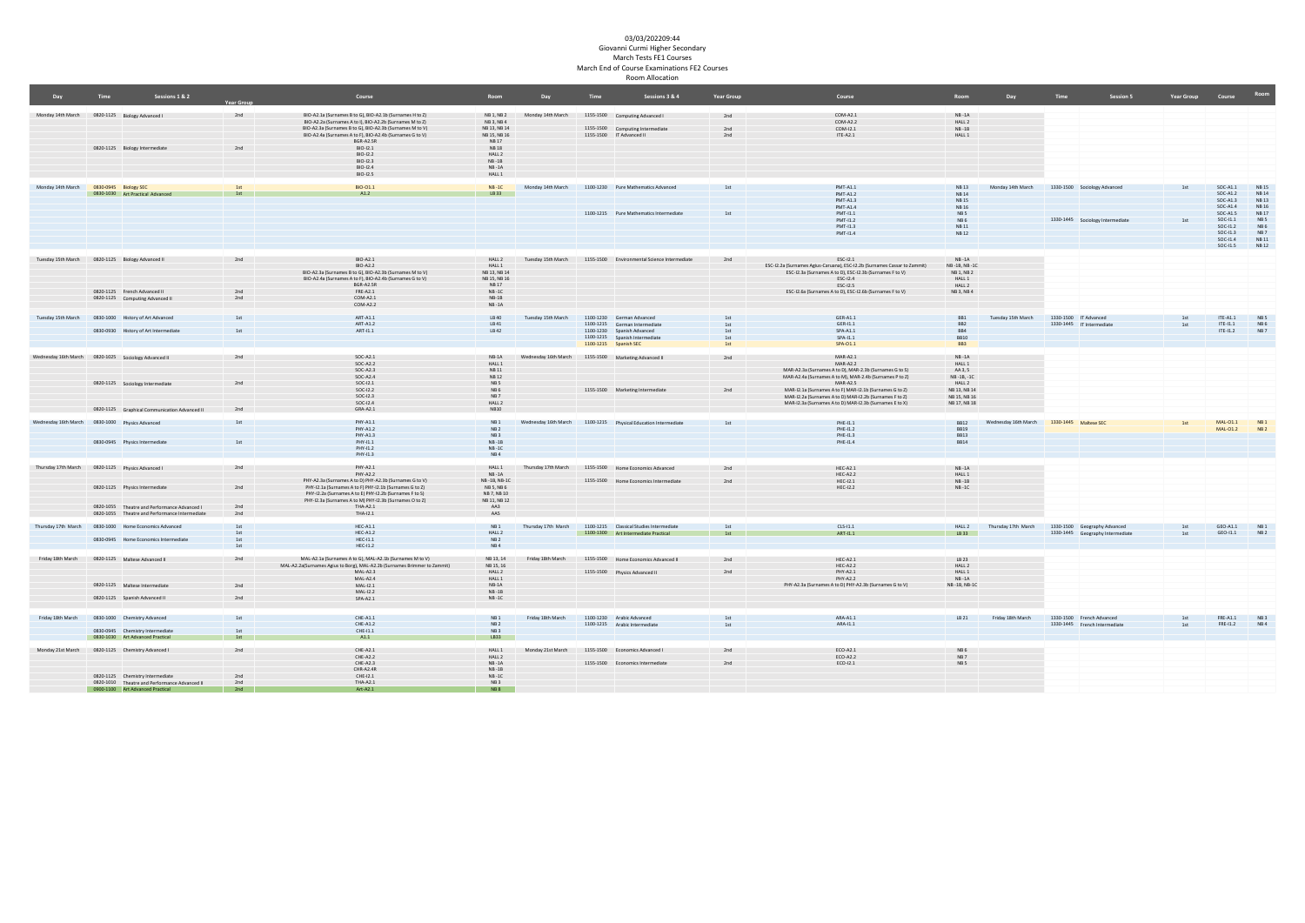|                                                      | <b>Time</b> | Sessions 1 & 2                                                                    |                   | Course                                                                                                             | Room                         | Day                  | <b>Time</b> | Sessions 3 & 4                                                                                       | <b>Year Group</b> | Course                                                                    | Room                       | Dav                                        | Time | Session 5                                                        | <b>Year Group</b> | Course                   | Room                 |
|------------------------------------------------------|-------------|-----------------------------------------------------------------------------------|-------------------|--------------------------------------------------------------------------------------------------------------------|------------------------------|----------------------|-------------|------------------------------------------------------------------------------------------------------|-------------------|---------------------------------------------------------------------------|----------------------------|--------------------------------------------|------|------------------------------------------------------------------|-------------------|--------------------------|----------------------|
|                                                      |             |                                                                                   | <b>Year Group</b> |                                                                                                                    |                              |                      |             |                                                                                                      |                   |                                                                           |                            |                                            |      |                                                                  |                   |                          |                      |
| Monday 14th March 0820-1125 Biology Advanced I       |             |                                                                                   | 2nd               | BIO-A2.1a (Surnames B to G), BIO-A2.1b (Surnames H to Z)                                                           | NB 1, NB 2                   | Monday 14th March    |             | 1155-1500 Computing Advanced I                                                                       | 2nd               | COM-A2.1                                                                  | $NB - 1A$                  |                                            |      |                                                                  |                   |                          |                      |
|                                                      |             |                                                                                   |                   | BIO-A2.2a (Surnames A to I), BIO-A2.2b (Surnames M to Z)                                                           | NR3 NR4                      |                      |             |                                                                                                      |                   | COM-A2.2                                                                  | HALL 2                     |                                            |      |                                                                  |                   |                          |                      |
|                                                      |             |                                                                                   |                   | BIO-A2.3a (Surnames B to G), BIO-A2.3b (Surnames M to V)                                                           | NB 13, NB 14                 |                      |             | 1155-1500 Computing Intermediate                                                                     | 2nd               | COM-12.1                                                                  | $NB - 1B$                  |                                            |      |                                                                  |                   |                          |                      |
|                                                      |             |                                                                                   |                   | BIO-A2.4a (Surnames A to F), BIO-A2.4b (Surnames G to V)                                                           | NB 15, NB 16                 |                      |             | 1155-1500 IT Advanced II                                                                             | 2nd               | $IF-42.1$                                                                 | HALL 1                     |                                            |      |                                                                  |                   |                          |                      |
|                                                      |             | 0820-1125 Biology Intermediate                                                    | 2nd               | BGR-A2.5R<br>$BIO-I2.1$                                                                                            | <b>NB17</b><br><b>NB18</b>   |                      |             |                                                                                                      |                   |                                                                           |                            |                                            |      |                                                                  |                   |                          |                      |
|                                                      |             |                                                                                   |                   | BIO-I2.2                                                                                                           | HALL 2                       |                      |             |                                                                                                      |                   |                                                                           |                            |                                            |      |                                                                  |                   |                          |                      |
|                                                      |             |                                                                                   |                   | $RIO-123$                                                                                                          | $NR-1R$                      |                      |             |                                                                                                      |                   |                                                                           |                            |                                            |      |                                                                  |                   |                          |                      |
|                                                      |             |                                                                                   |                   | $BIO-12.4$                                                                                                         | $NB - 1A$                    |                      |             |                                                                                                      |                   |                                                                           |                            |                                            |      |                                                                  |                   |                          |                      |
|                                                      |             |                                                                                   |                   | BIO-I2.5                                                                                                           | HALL 1                       |                      |             |                                                                                                      |                   |                                                                           |                            |                                            |      |                                                                  |                   |                          |                      |
|                                                      |             |                                                                                   |                   |                                                                                                                    |                              |                      |             |                                                                                                      |                   |                                                                           |                            |                                            |      |                                                                  |                   |                          |                      |
| Monday 14th March                                    |             | 0830-0945 Biology SEC                                                             | 1 <sup>d</sup>    | BIO-01.1                                                                                                           | $NB - 1C$                    | Monday 14th March    |             | 1100-1230 Pure Mathematics Advanced                                                                  | 1st               | <b>PMT-A1.1</b>                                                           | NR 13                      | Monday 14th March                          |      | 1330-1500 Sociology Advanced                                     | 1st               | $SOC-A1.1$               | <b>NB15</b>          |
|                                                      |             | 0830-1030 Art Practical Advanced                                                  | 1st               | A1.2                                                                                                               | LB33                         |                      |             |                                                                                                      |                   | <b>PMT-A1.2</b><br><b>PMT-413</b>                                         | <b>NB14</b><br><b>NR15</b> |                                            |      |                                                                  |                   | $SOC-A1.2$<br>500-413    | <b>NB14</b><br>NR 13 |
|                                                      |             |                                                                                   |                   |                                                                                                                    |                              |                      |             |                                                                                                      |                   | <b>PMT-A1.4</b>                                                           | <b>NB16</b>                |                                            |      |                                                                  |                   | $SOC-A1.4$               | <b>NB16</b>          |
|                                                      |             |                                                                                   |                   |                                                                                                                    |                              |                      |             | 1100-1215 Pure Mathematics Intermediate                                                              | 1st               | $PMT-11.1$                                                                | NB <sub>5</sub>            |                                            |      |                                                                  |                   | $SOC-A1.5$               | <b>NB17</b>          |
|                                                      |             |                                                                                   |                   |                                                                                                                    |                              |                      |             |                                                                                                      |                   | PMT-I1.2                                                                  | NB6                        |                                            |      | 1330-1445 Sociology Intermediate                                 | 1st               | $SOC-11.1$               | NB <sub>5</sub>      |
|                                                      |             |                                                                                   |                   |                                                                                                                    |                              |                      |             |                                                                                                      |                   | PMT-11-3                                                                  | NR 11                      |                                            |      |                                                                  |                   | $SOC-11.2$               | NB6                  |
|                                                      |             |                                                                                   |                   |                                                                                                                    |                              |                      |             |                                                                                                      |                   | PMT-11.4                                                                  | <b>NB12</b>                |                                            |      |                                                                  |                   | $SOC-11.3$               | NB <sub>7</sub>      |
|                                                      |             |                                                                                   |                   |                                                                                                                    |                              |                      |             |                                                                                                      |                   |                                                                           |                            |                                            |      |                                                                  |                   | SOC-11.4                 | <b>NB11</b>          |
|                                                      |             |                                                                                   |                   |                                                                                                                    |                              |                      |             |                                                                                                      |                   |                                                                           |                            |                                            |      |                                                                  |                   | SOC-11.5                 | <b>NB12</b>          |
| Tuesday 15th March 0820-1125 Biology Advanced II     |             |                                                                                   | 2nd               | BIO-A2.1                                                                                                           | HALL 2                       | Tuesday 15th March   |             | 1155-1500 Environmental Science Intermediate                                                         | 2nd               | FSC-12.1                                                                  | <b>NR-14</b>               |                                            |      |                                                                  |                   |                          |                      |
|                                                      |             |                                                                                   |                   | $RIO-AD2$                                                                                                          | <b>HALL 1</b>                |                      |             |                                                                                                      |                   | ESC-12.2a (Surnames Agius-Caruana), ESC-12.2b (Surnames Cassar to Zammit) | NB-1B, NB-1C               |                                            |      |                                                                  |                   |                          |                      |
|                                                      |             |                                                                                   |                   | BIO-A2.3a (Surnames B to G), BIO-A2.3b (Surnames M to V)                                                           | NB 13, NB 14                 |                      |             |                                                                                                      |                   | ESC-12.3a (Surnames A to D), ESC-12.3b (Surnames F to V)                  | NB 1, NB 2                 |                                            |      |                                                                  |                   |                          |                      |
|                                                      |             |                                                                                   |                   | BIO-A2.4a (Surnames A to F), BIO-A2.4b (Surnames G to V)                                                           | NB 15, NB 16                 |                      |             |                                                                                                      |                   | ESC-12.4                                                                  | HALL 1                     |                                            |      |                                                                  |                   |                          |                      |
|                                                      |             |                                                                                   |                   | <b>BGR-A2.5R</b>                                                                                                   | <b>NB17</b>                  |                      |             |                                                                                                      |                   | ESC-12.5                                                                  | HALL 2                     |                                            |      |                                                                  |                   |                          |                      |
|                                                      |             | 0820-1125 French Advanced II                                                      | 2nd               | FRE-A2.1                                                                                                           | $NB - 1C$                    |                      |             |                                                                                                      |                   | ESC-I2.6a (Surnames A to D), ESC-I2.6b (Surnames F to V)                  | NB 3, NB 4                 |                                            |      |                                                                  |                   |                          |                      |
|                                                      |             | 0820-1125 Computing Advanced II                                                   | 2nd               | COM-A2.1                                                                                                           | $NB-1B$                      |                      |             |                                                                                                      |                   |                                                                           |                            |                                            |      |                                                                  |                   |                          |                      |
|                                                      |             |                                                                                   |                   | COM-A2.2                                                                                                           | $NB - 1A$                    |                      |             |                                                                                                      |                   |                                                                           |                            |                                            |      |                                                                  |                   |                          |                      |
|                                                      |             | Tuesday 15th March 0830-1000 History of Art Advanced                              | 1st               | <b>ART-A1.1</b>                                                                                                    | LB40                         | Tuesday 15th March   |             | 1100-1230 German Advanced                                                                            | 1st               | GER-A1.1                                                                  | BB1                        | Tuesday 15th March                         |      | 1330-1500 IT Advanced                                            | 1st               | $ITE-A1.1$               | NB <sub>5</sub>      |
|                                                      |             |                                                                                   |                   | ART-A1.2                                                                                                           | LB 41                        |                      |             | 1100-1215 German Intermediate                                                                        | 1st               | GER-11.1                                                                  | BB <sub>2</sub>            |                                            |      | 1330-1445 IT Intermediate                                        | 1st               | ITE-11.1                 | NB6                  |
|                                                      |             | 0830-0930 History of Art Intermediate                                             | 1st               | ART-11.1                                                                                                           | LB42                         |                      |             | 1100-1230 Spanish Advanced                                                                           | 1st               | <b>SPA-A11</b>                                                            | BB4                        |                                            |      |                                                                  |                   | $TE-11.2$                | NB 7                 |
|                                                      |             |                                                                                   |                   |                                                                                                                    |                              |                      |             | 1100-1215 Spanish Intermediate                                                                       | 1st               | SPA-11.1                                                                  | <b>BB10</b>                |                                            |      |                                                                  |                   |                          |                      |
|                                                      |             |                                                                                   |                   |                                                                                                                    |                              |                      |             | 1100-1215 Spanish SEC                                                                                | 1st               | SPA-01.1                                                                  | BB3                        |                                            |      |                                                                  |                   |                          |                      |
|                                                      |             |                                                                                   |                   |                                                                                                                    |                              |                      |             |                                                                                                      |                   |                                                                           |                            |                                            |      |                                                                  |                   |                          |                      |
| Wednesday 16th March 0820-1025 Sociology Advanced II |             |                                                                                   | 2nd               | $SOC-A2.1$<br>$SOC-A2.2$                                                                                           | $NB-1A$                      | Wednesday 16th March |             | 1155-1500 Marketing Advanced II                                                                      | 2nd               | <b>MAR-A2.1</b><br><b>MAR-A2.2</b>                                        | $NB - 1A$                  |                                            |      |                                                                  |                   |                          |                      |
|                                                      |             |                                                                                   |                   | $SOC-423$                                                                                                          | HALL 1<br><b>NB11</b>        |                      |             |                                                                                                      |                   | MAR-A2.3a (Surnames A to D), MAR-2.3b (Surnames G to S)                   | HALL 1<br>AA 3, 5          |                                            |      |                                                                  |                   |                          |                      |
|                                                      |             |                                                                                   |                   | SOC-A2.4                                                                                                           | <b>NB12</b>                  |                      |             |                                                                                                      |                   | MAR-A2.4a (Surnames A to M), MAR-2.4b (Surnames P to Z)                   | NB-1B, -1C                 |                                            |      |                                                                  |                   |                          |                      |
|                                                      |             | 0820-1125 Sociology Intermediate                                                  | 2nd               | $SOC-12.1$                                                                                                         | NB <sub>5</sub>              |                      |             |                                                                                                      |                   | MAR-A2.5                                                                  | HALL 2                     |                                            |      |                                                                  |                   |                          |                      |
|                                                      |             |                                                                                   |                   | $SOC-12.2$                                                                                                         | NB6                          |                      |             | 1155-1500 Marketing Intermediate                                                                     | 2nd               | MAR-12.1a (Surnames A to F) MAR-12.1b (Surnames G to Z)                   | NB 13, NB 14               |                                            |      |                                                                  |                   |                          |                      |
|                                                      |             |                                                                                   |                   | $SOC-12.3$                                                                                                         | NB7                          |                      |             |                                                                                                      |                   | MAR-12.2a (Surnames A to D) MAR-12.2b (Surnames F to Z)                   | NR 15 NR 16                |                                            |      |                                                                  |                   |                          |                      |
|                                                      |             |                                                                                   |                   | $SOC-12.4$                                                                                                         | HALL 2                       |                      |             |                                                                                                      |                   | MAR-I2 3a (Surnames A to D) MAR-I2 3b (Surnames E to X)                   | NB 17, NB 18               |                                            |      |                                                                  |                   |                          |                      |
|                                                      |             | 0820-1125 Graphical Communication Advanced II                                     | 2nd               | GRA-A2.1                                                                                                           | <b>NB10</b>                  |                      |             |                                                                                                      |                   |                                                                           |                            |                                            |      |                                                                  |                   |                          |                      |
|                                                      |             |                                                                                   |                   |                                                                                                                    |                              |                      |             |                                                                                                      |                   |                                                                           |                            |                                            |      |                                                                  |                   |                          |                      |
|                                                      |             |                                                                                   | 1st               | PHY-A1.1<br><b>PHY-A1.2</b>                                                                                        | NB1<br>NB2                   | Wednesday 16th March |             | 1100-1215 Physical Education Intermediate                                                            | 1st               | PHE-11.1<br>PHE-11.2                                                      | <b>BB12</b><br><b>BR19</b> | Wednesday 16th March 1330-1445 Maltese SEC |      |                                                                  | 1st               | MAL-01.1 NB1<br>MAL-01.2 | <b>NB2</b>           |
|                                                      |             |                                                                                   |                   | PHY-A1.3                                                                                                           | NB <sub>3</sub>              |                      |             |                                                                                                      |                   | PHF-11-3                                                                  | <b>BR13</b>                |                                            |      |                                                                  |                   |                          |                      |
|                                                      |             | 0830-0945 Physics Intermediate                                                    | 1st               | PHY-11 1                                                                                                           | <b>NR-1R</b>                 |                      |             |                                                                                                      |                   | PHF-11 4                                                                  | RR14                       |                                            |      |                                                                  |                   |                          |                      |
|                                                      |             |                                                                                   |                   | PHY-11.2                                                                                                           | $NB - 1C$                    |                      |             |                                                                                                      |                   |                                                                           |                            |                                            |      |                                                                  |                   |                          |                      |
|                                                      |             |                                                                                   |                   | PHY-11.3                                                                                                           | NB4                          |                      |             |                                                                                                      |                   |                                                                           |                            |                                            |      |                                                                  |                   |                          |                      |
|                                                      |             |                                                                                   |                   |                                                                                                                    |                              |                      |             |                                                                                                      |                   |                                                                           |                            |                                            |      |                                                                  |                   |                          |                      |
| Thursday 17th March 0820-1125 Physics Advanced I     |             |                                                                                   | 2nd               | PHY-A2.1                                                                                                           | HALL 1                       |                      |             | Thursday 17th March 1155-1500 Home Economics Advanced                                                | 2nd               | $HEC-A2.1$                                                                | $NB - 1A$                  |                                            |      |                                                                  |                   |                          |                      |
|                                                      |             |                                                                                   |                   | PHY-A2.2                                                                                                           | <b>NR-14</b><br>NB-1B, NB-1C |                      |             | 1155-1500 Home Fronomics Intermediate                                                                | 2nd               | HEC-A2.2<br>$HEC-I2.1$                                                    | HALL 1<br>$NB - 1B$        |                                            |      |                                                                  |                   |                          |                      |
|                                                      |             | 0820-1125 Physics Intermediate                                                    | 2nd               | PHY-A2.3a (Surnames A to D) PHY-A2.3b (Surnames G to V)<br>PHY-12.1a (Surnames A to F) PHY-12.1b (Surnames G to Z) | NB 5, NB 6                   |                      |             |                                                                                                      |                   | $HEC-12.2$                                                                | $NB - 1C$                  |                                            |      |                                                                  |                   |                          |                      |
|                                                      |             |                                                                                   |                   | PHY-I2.2a (Surnames A to E) PHY-I2.2b (Surnames F to S)                                                            | NB 7, NB 10                  |                      |             |                                                                                                      |                   |                                                                           |                            |                                            |      |                                                                  |                   |                          |                      |
|                                                      |             |                                                                                   |                   | PHY-12.3a (Surnames A to M) PHY-12.3b (Surnames O to Z)                                                            | NB 11, NB 12                 |                      |             |                                                                                                      |                   |                                                                           |                            |                                            |      |                                                                  |                   |                          |                      |
|                                                      |             | 0820-1055 Theatre and Performance Advanced L                                      | 2nd               | THA-A2.1                                                                                                           | AA3                          |                      |             |                                                                                                      |                   |                                                                           |                            |                                            |      |                                                                  |                   |                          |                      |
|                                                      |             | 0820-1055 Theatre and Performance Intermediate                                    | 2nd               | THA-12.1                                                                                                           | AAS                          |                      |             |                                                                                                      |                   |                                                                           |                            |                                            |      |                                                                  |                   |                          |                      |
|                                                      |             |                                                                                   |                   |                                                                                                                    |                              |                      |             |                                                                                                      |                   |                                                                           |                            |                                            |      |                                                                  |                   |                          |                      |
|                                                      |             | Thursday 17th March 0830-1000 Home Economics Advanced                             | 1st<br>1st        | $HEC-A1.1$<br><b>HEC-A1.2</b>                                                                                      | NB1<br>HALL 2                |                      |             | Thursday 17th March 1100-1215 Classical Studies Intermediate<br>1100-1300 Art Intermediate Practical | 1st<br>1st        | $CLS-11.1$<br>ART-11.1                                                    | HALL 2<br>LB 33            | Thursday 17th March                        |      | 1330-1500 Geography Advanced<br>1330-1445 Geography Intermediate | 1st<br>1st        | GEO-A1.1 NB1<br>GEO-I1.1 | NB <sub>2</sub>      |
|                                                      |             | 0830-0945 Home Economics Intermediate                                             | 1st               | $HEC-11.1$                                                                                                         | NB2                          |                      |             |                                                                                                      |                   |                                                                           |                            |                                            |      |                                                                  |                   |                          |                      |
|                                                      |             |                                                                                   | 1 <sub>ct</sub>   | HFC-11.2                                                                                                           | NR4                          |                      |             |                                                                                                      |                   |                                                                           |                            |                                            |      |                                                                  |                   |                          |                      |
|                                                      |             |                                                                                   |                   |                                                                                                                    |                              |                      |             |                                                                                                      |                   |                                                                           |                            |                                            |      |                                                                  |                   |                          |                      |
| Friday 18th March 0820-1125 Maltese Advanced II      |             |                                                                                   | 2nd               | MAL-A2.1a (Surnames A to G), MAL-A2.1b (Surnames M to V)                                                           | NB 13, 14                    | Friday 18th March    |             | 1155-1500 Home Economics Advanced II                                                                 | 2nd               | $HEC-A2.1$                                                                | LB 23                      |                                            |      |                                                                  |                   |                          |                      |
|                                                      |             |                                                                                   |                   | MAL-A2.2a(Surnames Agius to Borg), MAL-A2.2b (Surnames Brimmer to Zammit)                                          | NB 15, 16                    |                      |             |                                                                                                      |                   | HEC-A2.2                                                                  | HALL 2                     |                                            |      |                                                                  |                   |                          |                      |
|                                                      |             |                                                                                   |                   | $MAL-A2.3$                                                                                                         | HALL 2                       |                      |             | 1155-1500 Physics Advanced II                                                                        | 2nd               | PHY-A2.1                                                                  | HALL 1                     |                                            |      |                                                                  |                   |                          |                      |
|                                                      |             | 0820-1125 Maltese Intermediate                                                    | 2nd               | MAL-A2.4<br>MAI-121                                                                                                | HALL 1<br><b>NR-1A</b>       |                      |             |                                                                                                      |                   | PHY-A2.2<br>PHY-A2.3a (Surnames A to D) PHY-A2.3b (Surnames G to V)       | $NB - 1A$<br>NR-1R NR-1C   |                                            |      |                                                                  |                   |                          |                      |
|                                                      |             |                                                                                   |                   | MAL-12.2                                                                                                           | $NB - 1B$                    |                      |             |                                                                                                      |                   |                                                                           |                            |                                            |      |                                                                  |                   |                          |                      |
|                                                      |             | 0820-1125 Spanish Advanced II                                                     | 2nd               | $SPA-A2.1$                                                                                                         | $NB - 1C$                    |                      |             |                                                                                                      |                   |                                                                           |                            |                                            |      |                                                                  |                   |                          |                      |
|                                                      |             |                                                                                   |                   |                                                                                                                    |                              |                      |             |                                                                                                      |                   |                                                                           |                            |                                            |      |                                                                  |                   |                          |                      |
|                                                      |             |                                                                                   |                   |                                                                                                                    |                              |                      |             |                                                                                                      |                   |                                                                           |                            |                                            |      |                                                                  |                   |                          |                      |
| Friday 18th March 0830-1000 Chemistry Advanced       |             |                                                                                   | 1st               | $CHE-A1.1$                                                                                                         | NB1                          | Friday 18th March    |             | 1100-1230 Arabic Advanced                                                                            | 1st               | ARA-A1.1                                                                  | LB 21                      | Friday 18th March                          |      | 1330-1500 French Advanced                                        | 1st               | FRE-A1.1 NB3             |                      |
|                                                      |             |                                                                                   |                   | $CHF-412$                                                                                                          | NR <sub>2</sub>              |                      |             | 1100-1215 Arabic Intermediate                                                                        | 1st               | ARA-I11                                                                   |                            |                                            |      | 1330-1445 French Intermediate                                    | 1st               | FRE-I1.2 NB 4            |                      |
|                                                      |             | 0830-0945 Chemistry Intermediate                                                  | 1st               | $CHE-11.1$                                                                                                         | NB <sub>3</sub>              |                      |             |                                                                                                      |                   |                                                                           |                            |                                            |      |                                                                  |                   |                          |                      |
|                                                      |             | 0830-1030 Art Advanced Practical                                                  | 1st               | A1.1                                                                                                               | LB33                         |                      |             |                                                                                                      |                   |                                                                           |                            |                                            |      |                                                                  |                   |                          |                      |
|                                                      |             | Monday 21st March 0820-1125 Chemistry Advanced I                                  | 2nd               | CHE-A2.1                                                                                                           | HALL 1                       | Monday 21st March    |             | 1155-1500 Economics Advanced I                                                                       | 2nd               | ECO-A2.1                                                                  | NB6                        |                                            |      |                                                                  |                   |                          |                      |
|                                                      |             |                                                                                   |                   | CHE-A2.2                                                                                                           | HALL 2                       |                      |             |                                                                                                      |                   | ECO-A2.2                                                                  | NB7                        |                                            |      |                                                                  |                   |                          |                      |
|                                                      |             |                                                                                   |                   | $CHF-AD$ 3                                                                                                         | $NB - 1A$                    |                      |             | 1155-1500 Fronomics Intermediate                                                                     | 2nd               | ECO-I2.1                                                                  | NB <sub>5</sub>            |                                            |      |                                                                  |                   |                          |                      |
|                                                      |             |                                                                                   |                   | CHR-A2.4R                                                                                                          | $NB - 1B$                    |                      |             |                                                                                                      |                   |                                                                           |                            |                                            |      |                                                                  |                   |                          |                      |
|                                                      |             | 0820-1125 Chemistry Intermediate                                                  | 2nd               | $CHE-12.1$                                                                                                         | $NB - 1C$                    |                      |             |                                                                                                      |                   |                                                                           |                            |                                            |      |                                                                  |                   |                          |                      |
|                                                      |             | 0820-1010 Theatre and Performance Advanced II<br>0900-1100 Art Advanced Practical | 2nd<br>2nd        | THA-A2.1<br>Art-A2.1                                                                                               | NB <sub>3</sub><br>NB8       |                      |             |                                                                                                      |                   |                                                                           |                            |                                            |      |                                                                  |                   |                          |                      |
|                                                      |             |                                                                                   |                   |                                                                                                                    |                              |                      |             |                                                                                                      |                   |                                                                           |                            |                                            |      |                                                                  |                   |                          |                      |